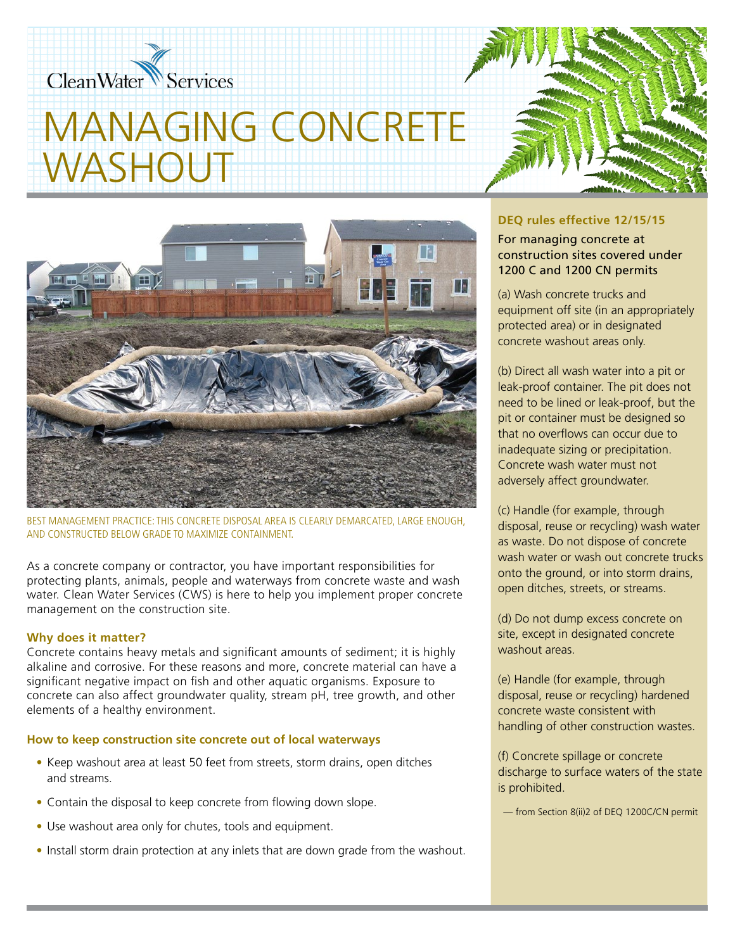# CleanWater Services

# MANAGING CONCRETE WASHOUT



BEST MANAGEMENT PRACTICE: THIS CONCRETE DISPOSAL AREA IS CLEARLY DEMARCATED, LARGE ENOUGH, AND CONSTRUCTED BELOW GRADE TO MAXIMIZE CONTAINMENT.

As a concrete company or contractor, you have important responsibilities for protecting plants, animals, people and waterways from concrete waste and wash water. Clean Water Services (CWS) is here to help you implement proper concrete management on the construction site.

#### **Why does it matter?**

Concrete contains heavy metals and significant amounts of sediment; it is highly alkaline and corrosive. For these reasons and more, concrete material can have a significant negative impact on fish and other aquatic organisms. Exposure to concrete can also affect groundwater quality, stream pH, tree growth, and other elements of a healthy environment.

#### **How to keep construction site concrete out of local waterways**

- Keep washout area at least 50 feet from streets, storm drains, open ditches and streams.
- Contain the disposal to keep concrete from flowing down slope.
- Use washout area only for chutes, tools and equipment.
- Install storm drain protection at any inlets that are down grade from the washout.

### **DEQ rules effective 12/15/15**

For managing concrete at construction sites covered under 1200 C and 1200 CN permits

(a) Wash concrete trucks and equipment off site (in an appropriately protected area) or in designated concrete washout areas only.

(b) Direct all wash water into a pit or leak-proof container. The pit does not need to be lined or leak-proof, but the pit or container must be designed so that no overflows can occur due to inadequate sizing or precipitation. Concrete wash water must not adversely affect groundwater.

(c) Handle (for example, through disposal, reuse or recycling) wash water as waste. Do not dispose of concrete wash water or wash out concrete trucks onto the ground, or into storm drains, open ditches, streets, or streams.

(d) Do not dump excess concrete on site, except in designated concrete washout areas.

(e) Handle (for example, through disposal, reuse or recycling) hardened concrete waste consistent with handling of other construction wastes.

(f) Concrete spillage or concrete discharge to surface waters of the state is prohibited.

— from Section 8(ii)2 of DEQ 1200C/CN permit